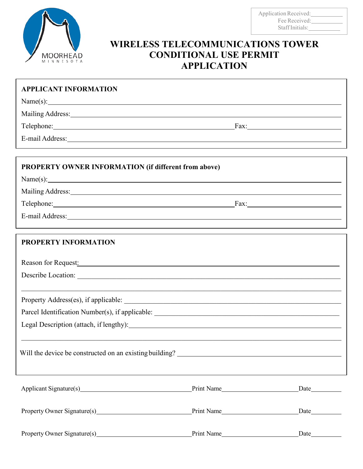

Application Received: Fee Received: StaffInitials:

## **WIRELESS TELECOMMUNICATIONS TOWER CONDITIONAL USE PERMIT APPLICATION**

| <b>APPLICANT INFORMATION</b>                                                                                                                                                                                                   |            |                                   |
|--------------------------------------------------------------------------------------------------------------------------------------------------------------------------------------------------------------------------------|------------|-----------------------------------|
| Name(s):                                                                                                                                                                                                                       |            |                                   |
| Mailing Address: National Address: National Address: National Address: National Address: National Address: National Address: National Address: National Address: National Address: National Address: National Address: Nationa |            |                                   |
| Telephone: Fax: Fax:                                                                                                                                                                                                           |            |                                   |
|                                                                                                                                                                                                                                |            |                                   |
|                                                                                                                                                                                                                                |            |                                   |
| <b>PROPERTY OWNER INFORMATION (if different from above)</b>                                                                                                                                                                    |            |                                   |
| Name(s):                                                                                                                                                                                                                       |            |                                   |
| Mailing Address: National Address: National Address: National Address: National Address: National Address: National Address: National Address: National Address: National Address: National Address: National Address: Nationa |            |                                   |
| Telephone: Fax: Fax:                                                                                                                                                                                                           |            |                                   |
| E-mail Address: Note and Address and Address and Address and Address and Address and Address and Address and Address and Address and Address and Address and Address and Address and Address and Address and Address and Addre |            |                                   |
|                                                                                                                                                                                                                                |            |                                   |
| <b>PROPERTY INFORMATION</b>                                                                                                                                                                                                    |            |                                   |
| Reason for Request: New York Changes and Separate Section 2014                                                                                                                                                                 |            |                                   |
| Describe Location:                                                                                                                                                                                                             |            |                                   |
|                                                                                                                                                                                                                                |            |                                   |
|                                                                                                                                                                                                                                |            |                                   |
|                                                                                                                                                                                                                                |            |                                   |
| Legal Description (attach, if lengthy): Manual Manual Manual Manual Manual Manual Manual Manual Manual Manual Ma                                                                                                               |            |                                   |
|                                                                                                                                                                                                                                |            |                                   |
|                                                                                                                                                                                                                                |            |                                   |
|                                                                                                                                                                                                                                |            |                                   |
|                                                                                                                                                                                                                                |            |                                   |
| Applicant Signature(s) Print Name Print Name                                                                                                                                                                                   |            | $\frac{\text{Date}}{\text{Date}}$ |
|                                                                                                                                                                                                                                |            |                                   |
| Property Owner Signature(s) Print Name Print Name                                                                                                                                                                              |            |                                   |
|                                                                                                                                                                                                                                |            |                                   |
|                                                                                                                                                                                                                                | Print Name |                                   |